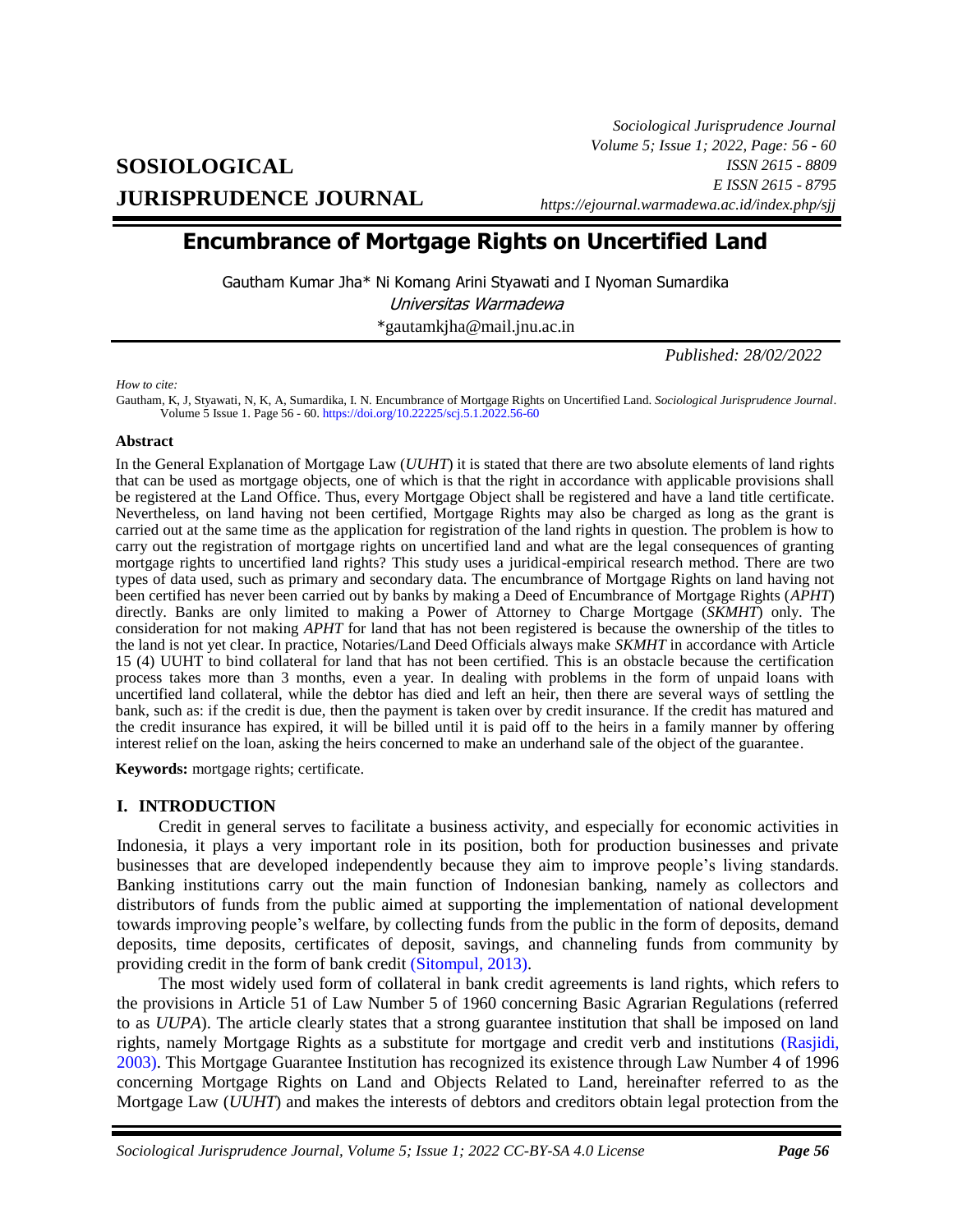# **SOSIOLOGICAL JURISPRUDENCE JOURNAL**

*Sociological Jurisprudence Journal Volume 5; Issue 1; 2022, Page: 56 - 60 ISSN 2615 - 8809 E ISSN 2615 - 8795 https://ejournal.warmadewa.ac.id/index.php/sjj*

## **Encumbrance of Mortgage Rights on Uncertified Land**

Gautham Kumar Jha\* Ni Komang Arini Styawati and I Nyoman Sumardika Universitas Warmadewa

\*[gautamkjha@mail.jnu.ac.in](mailto:gautamkjha@mail.jnu.ac.in)

*Published: 28/02/2022*

*How to cite:*

Gautham, K, J, Styawati, N, K, A, Sumardika, I. N*.* Encumbrance of Mortgage Rights on Uncertified Land. *Sociological Jurisprudence Journal*. Volume 5 Issue 1. Page 56 - 60[. https://doi.org/10.22225/scj.5.1.2022.56-60](https://doi.org/10.22225/scj.5.1.2022.56-60)

#### **Abstract**

In the General Explanation of Mortgage Law (*UUHT*) it is stated that there are two absolute elements of land rights that can be used as mortgage objects, one of which is that the right in accordance with applicable provisions shall be registered at the Land Office. Thus, every Mortgage Object shall be registered and have a land title certificate. Nevertheless, on land having not been certified, Mortgage Rights may also be charged as long as the grant is carried out at the same time as the application for registration of the land rights in question. The problem is how to carry out the registration of mortgage rights on uncertified land and what are the legal consequences of granting mortgage rights to uncertified land rights? This study uses a juridical-empirical research method. There are two types of data used, such as primary and secondary data. The encumbrance of Mortgage Rights on land having not been certified has never been carried out by banks by making a Deed of Encumbrance of Mortgage Rights (*APHT*) directly. Banks are only limited to making a Power of Attorney to Charge Mortgage (*SKMHT*) only. The consideration for not making *APHT* for land that has not been registered is because the ownership of the titles to the land is not yet clear. In practice, Notaries/Land Deed Officials always make *SKMHT* in accordance with Article 15 (4) UUHT to bind collateral for land that has not been certified. This is an obstacle because the certification process takes more than 3 months, even a year. In dealing with problems in the form of unpaid loans with uncertified land collateral, while the debtor has died and left an heir, then there are several ways of settling the bank, such as: if the credit is due, then the payment is taken over by credit insurance. If the credit has matured and the credit insurance has expired, it will be billed until it is paid off to the heirs in a family manner by offering interest relief on the loan, asking the heirs concerned to make an underhand sale of the object of the guarantee.

**Keywords:** mortgage rights; certificate.

### **I. INTRODUCTION**

Credit in general serves to facilitate a business activity, and especially for economic activities in Indonesia, it plays a very important role in its position, both for production businesses and private businesses that are developed independently because they aim to improve people's living standards. Banking institutions carry out the main function of Indonesian banking, namely as collectors and distributors of funds from the public aimed at supporting the implementation of national development towards improving people's welfare, by collecting funds from the public in the form of deposits, demand deposits, time deposits, certificates of deposit, savings, and channeling funds from community by providing credit in the form of bank credit [\(Sitompul, 2013\).](#page-4-0)

The most widely used form of collateral in bank credit agreements is land rights, which refers to the provisions in Article 51 of Law Number 5 of 1960 concerning Basic Agrarian Regulations (referred to as *UUPA*). The article clearly states that a strong guarantee institution that shall be imposed on land rights, namely Mortgage Rights as a substitute for mortgage and credit verb and institutions [\(Rasjidi,](#page-4-0)  2003). This Mortgage Guarantee Institution has recognized its existence through Law Number 4 of 1996 concerning Mortgage Rights on Land and Objects Related to Land, hereinafter referred to as the Mortgage Law (*UUHT*) and makes the interests of debtors and creditors obtain legal protection from the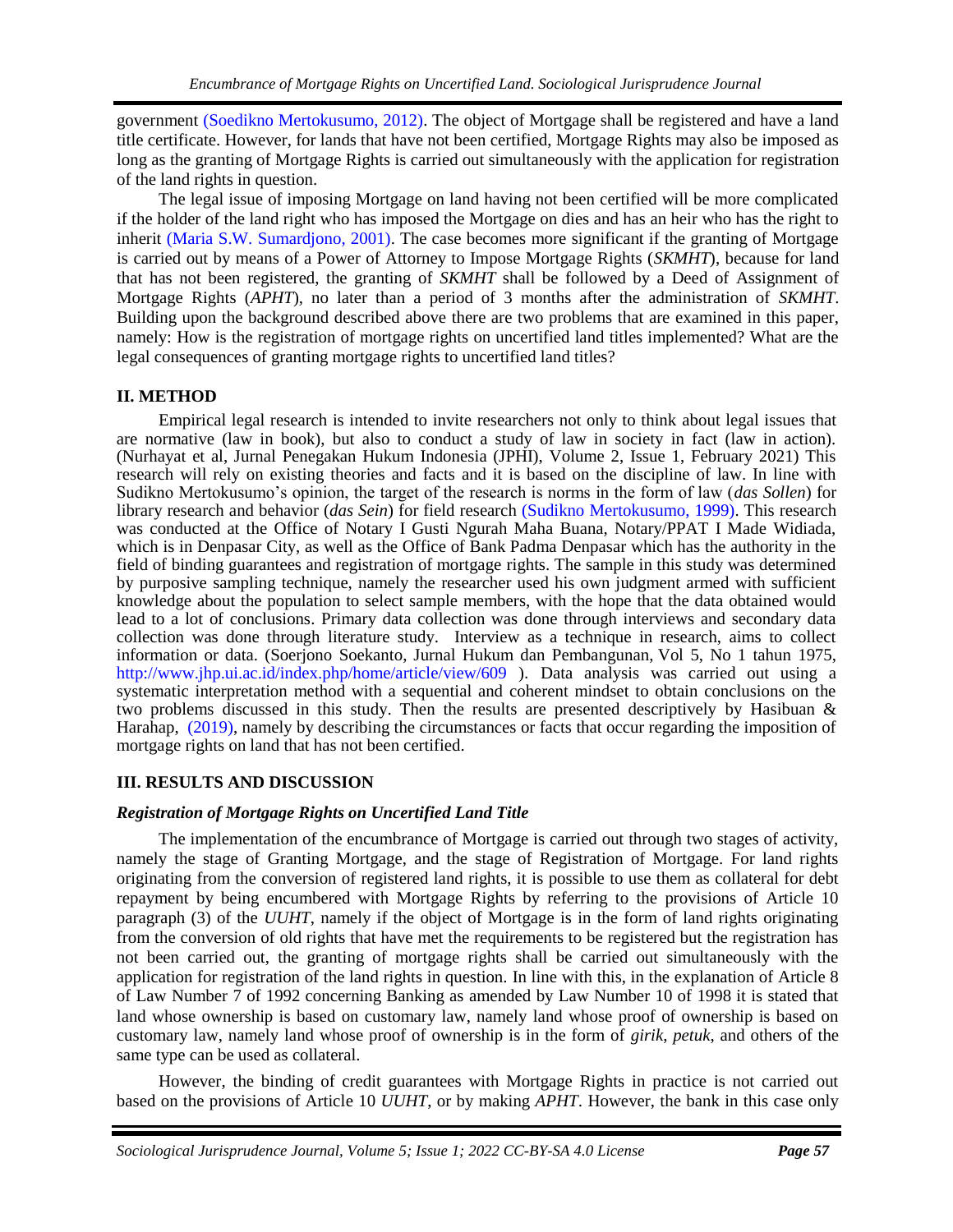government [\(Soedikno Mertokusumo, 2012\).](#page-4-0) The object of Mortgage shall be registered and have a land title certificate. However, for lands that have not been certified, Mortgage Rights may also be imposed as long as the granting of Mortgage Rights is carried out simultaneously with the application for registration of the land rights in question.

The legal issue of imposing Mortgage on land having not been certified will be more complicated if the holder of the land right who has imposed the Mortgage on dies and has an heir who has the right to inherit [\(Maria S.W. Sumardjono, 2001\).](#page-4-0) The case becomes more significant if the granting of Mortgage is carried out by means of a Power of Attorney to Impose Mortgage Rights (*SKMHT*), because for land that has not been registered, the granting of *SKMHT* shall be followed by a Deed of Assignment of Mortgage Rights (*APHT*), no later than a period of 3 months after the administration of *SKMHT*. Building upon the background described above there are two problems that are examined in this paper, namely: How is the registration of mortgage rights on uncertified land titles implemented? What are the legal consequences of granting mortgage rights to uncertified land titles?

## **II. METHOD**

Empirical legal research is intended to invite researchers not only to think about legal issues that are normative (law in book), but also to conduct a study of law in society in fact (law in action). (Nurhayat et al, Jurnal Penegakan Hukum Indonesia (JPHI), Volume 2, Issue 1, February 2021) This research will rely on existing theories and facts and it is based on the discipline of law. In line with Sudikno Mertokusumo's opinion, the target of the research is norms in the form of law (*das Sollen*) for library research and behavior (*das Sein*) for field research [\(Sudikno Mertokusumo, 1999\).](#page-4-0) This research was conducted at the Office of Notary I Gusti Ngurah Maha Buana, Notary/PPAT I Made Widiada, which is in Denpasar City, as well as the Office of Bank Padma Denpasar which has the authority in the field of binding guarantees and registration of mortgage rights. The sample in this study was determined by purposive sampling technique, namely the researcher used his own judgment armed with sufficient knowledge about the population to select sample members, with the hope that the data obtained would lead to a lot of conclusions. Primary data collection was done through interviews and secondary data collection was done through literature study. Interview as a technique in research, aims to collect information or data. (Soerjono Soekanto, Jurnal Hukum dan Pembangunan, Vol 5, No 1 tahun 1975, <http://www.jhp.ui.ac.id/index.php/home/article/view/609> ). Data analysis was carried out using a systematic interpretation method with a sequential and coherent mindset to obtain conclusions on the two problems discussed in this study. Then the results are presented descriptively by Hasibuan & Harahap, [\(2019\),](https://journal.pancabudi.ac.id/index.php/hukumresponsif/issue/view/63) namely by describing the circumstances or facts that occur regarding the imposition of mortgage rights on land that has not been certified.

## **III. RESULTS AND DISCUSSION**

## *Registration of Mortgage Rights on Uncertified Land Title*

The implementation of the encumbrance of Mortgage is carried out through two stages of activity, namely the stage of Granting Mortgage, and the stage of Registration of Mortgage. For land rights originating from the conversion of registered land rights, it is possible to use them as collateral for debt repayment by being encumbered with Mortgage Rights by referring to the provisions of Article 10 paragraph (3) of the *UUHT*, namely if the object of Mortgage is in the form of land rights originating from the conversion of old rights that have met the requirements to be registered but the registration has not been carried out, the granting of mortgage rights shall be carried out simultaneously with the application for registration of the land rights in question. In line with this, in the explanation of Article 8 of Law Number 7 of 1992 concerning Banking as amended by Law Number 10 of 1998 it is stated that land whose ownership is based on customary law, namely land whose proof of ownership is based on customary law, namely land whose proof of ownership is in the form of *girik*, *petuk*, and others of the same type can be used as collateral.

However, the binding of credit guarantees with Mortgage Rights in practice is not carried out based on the provisions of Article 10 *UUHT*, or by making *APHT*. However, the bank in this case only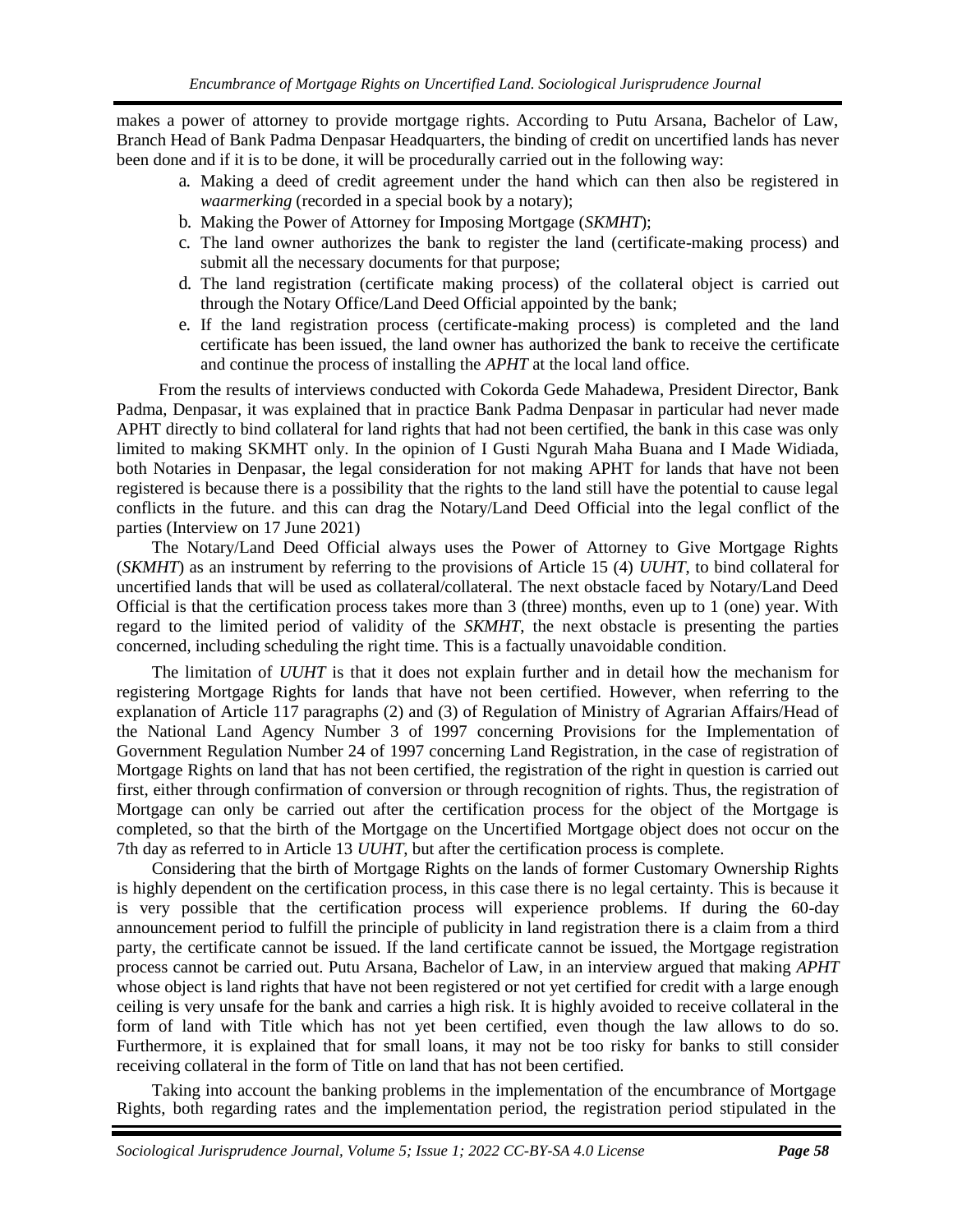makes a power of attorney to provide mortgage rights. According to Putu Arsana, Bachelor of Law, Branch Head of Bank Padma Denpasar Headquarters, the binding of credit on uncertified lands has never been done and if it is to be done, it will be procedurally carried out in the following way:

- a. Making a deed of credit agreement under the hand which can then also be registered in *waarmerking* (recorded in a special book by a notary);
- b. Making the Power of Attorney for Imposing Mortgage (*SKMHT*);
- c. The land owner authorizes the bank to register the land (certificate-making process) and submit all the necessary documents for that purpose;
- d. The land registration (certificate making process) of the collateral object is carried out through the Notary Office/Land Deed Official appointed by the bank;
- e. If the land registration process (certificate-making process) is completed and the land certificate has been issued, the land owner has authorized the bank to receive the certificate and continue the process of installing the *APHT* at the local land office.

From the results of interviews conducted with Cokorda Gede Mahadewa, President Director, Bank Padma, Denpasar, it was explained that in practice Bank Padma Denpasar in particular had never made APHT directly to bind collateral for land rights that had not been certified, the bank in this case was only limited to making SKMHT only. In the opinion of I Gusti Ngurah Maha Buana and I Made Widiada, both Notaries in Denpasar, the legal consideration for not making APHT for lands that have not been registered is because there is a possibility that the rights to the land still have the potential to cause legal conflicts in the future. and this can drag the Notary/Land Deed Official into the legal conflict of the parties (Interview on 17 June 2021)

The Notary/Land Deed Official always uses the Power of Attorney to Give Mortgage Rights (*SKMHT*) as an instrument by referring to the provisions of Article 15 (4) *UUHT*, to bind collateral for uncertified lands that will be used as collateral/collateral. The next obstacle faced by Notary/Land Deed Official is that the certification process takes more than 3 (three) months, even up to 1 (one) year. With regard to the limited period of validity of the *SKMHT*, the next obstacle is presenting the parties concerned, including scheduling the right time. This is a factually unavoidable condition.

The limitation of *UUHT* is that it does not explain further and in detail how the mechanism for registering Mortgage Rights for lands that have not been certified. However, when referring to the explanation of Article 117 paragraphs (2) and (3) of Regulation of Ministry of Agrarian Affairs/Head of the National Land Agency Number 3 of 1997 concerning Provisions for the Implementation of Government Regulation Number 24 of 1997 concerning Land Registration, in the case of registration of Mortgage Rights on land that has not been certified, the registration of the right in question is carried out first, either through confirmation of conversion or through recognition of rights. Thus, the registration of Mortgage can only be carried out after the certification process for the object of the Mortgage is completed, so that the birth of the Mortgage on the Uncertified Mortgage object does not occur on the 7th day as referred to in Article 13 *UUHT*, but after the certification process is complete.

Considering that the birth of Mortgage Rights on the lands of former Customary Ownership Rights is highly dependent on the certification process, in this case there is no legal certainty. This is because it is very possible that the certification process will experience problems. If during the 60-day announcement period to fulfill the principle of publicity in land registration there is a claim from a third party, the certificate cannot be issued. If the land certificate cannot be issued, the Mortgage registration process cannot be carried out. Putu Arsana, Bachelor of Law, in an interview argued that making *APHT* whose object is land rights that have not been registered or not yet certified for credit with a large enough ceiling is very unsafe for the bank and carries a high risk. It is highly avoided to receive collateral in the form of land with Title which has not yet been certified, even though the law allows to do so. Furthermore, it is explained that for small loans, it may not be too risky for banks to still consider receiving collateral in the form of Title on land that has not been certified.

Taking into account the banking problems in the implementation of the encumbrance of Mortgage Rights, both regarding rates and the implementation period, the registration period stipulated in the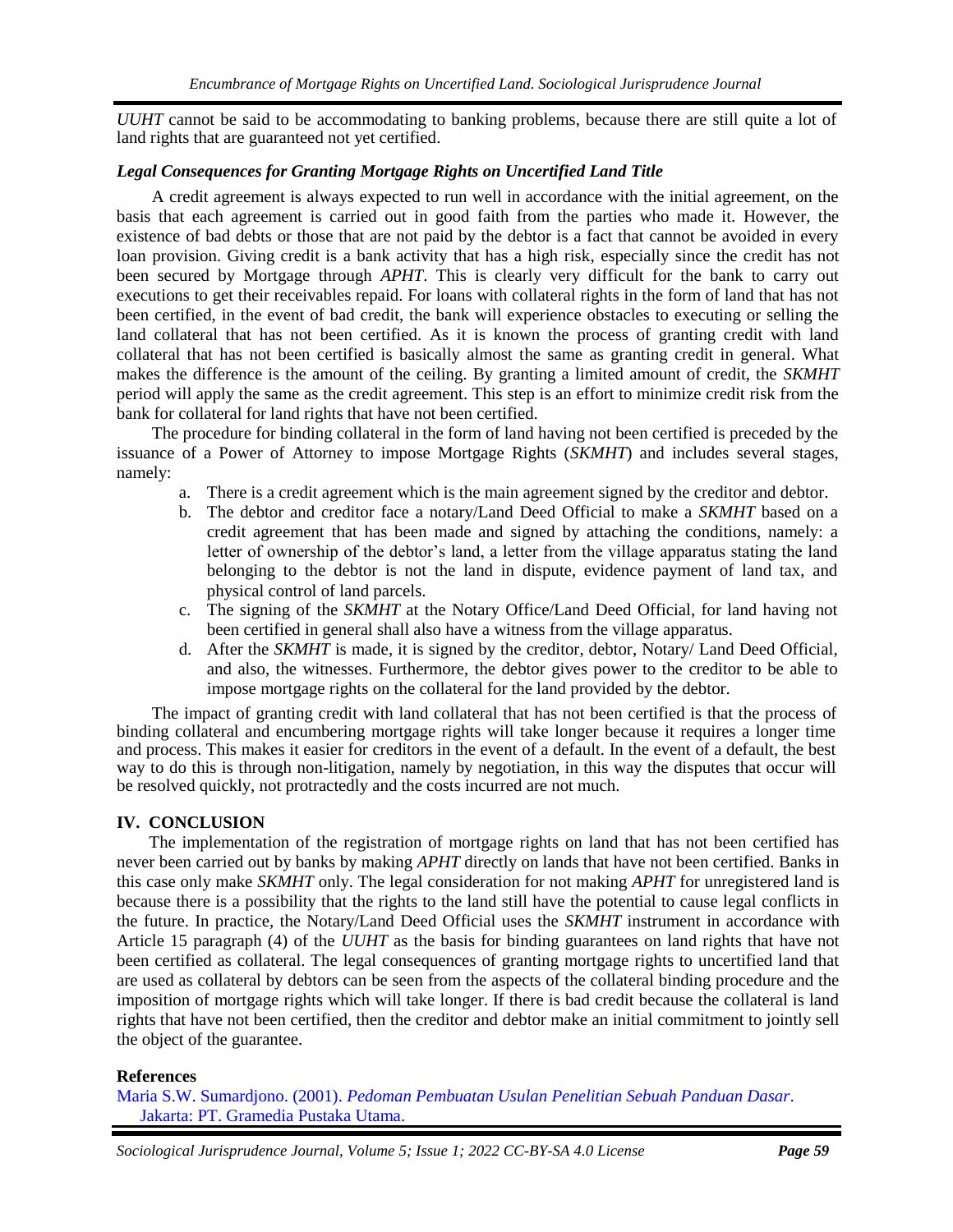*UUHT* cannot be said to be accommodating to banking problems, because there are still quite a lot of land rights that are guaranteed not yet certified.

### *Legal Consequences for Granting Mortgage Rights on Uncertified Land Title*

A credit agreement is always expected to run well in accordance with the initial agreement, on the basis that each agreement is carried out in good faith from the parties who made it. However, the existence of bad debts or those that are not paid by the debtor is a fact that cannot be avoided in every loan provision. Giving credit is a bank activity that has a high risk, especially since the credit has not been secured by Mortgage through *APHT*. This is clearly very difficult for the bank to carry out executions to get their receivables repaid. For loans with collateral rights in the form of land that has not been certified, in the event of bad credit, the bank will experience obstacles to executing or selling the land collateral that has not been certified. As it is known the process of granting credit with land collateral that has not been certified is basically almost the same as granting credit in general. What makes the difference is the amount of the ceiling. By granting a limited amount of credit, the *SKMHT* period will apply the same as the credit agreement. This step is an effort to minimize credit risk from the bank for collateral for land rights that have not been certified.

The procedure for binding collateral in the form of land having not been certified is preceded by the issuance of a Power of Attorney to impose Mortgage Rights (*SKMHT*) and includes several stages, namely:

- a. There is a credit agreement which is the main agreement signed by the creditor and debtor.
- b. The debtor and creditor face a notary/Land Deed Official to make a *SKMHT* based on a credit agreement that has been made and signed by attaching the conditions, namely: a letter of ownership of the debtor's land, a letter from the village apparatus stating the land belonging to the debtor is not the land in dispute, evidence payment of land tax, and physical control of land parcels.
- c. The signing of the *SKMHT* at the Notary Office/Land Deed Official, for land having not been certified in general shall also have a witness from the village apparatus.
- d. After the *SKMHT* is made, it is signed by the creditor, debtor, Notary/ Land Deed Official, and also, the witnesses. Furthermore, the debtor gives power to the creditor to be able to impose mortgage rights on the collateral for the land provided by the debtor.

The impact of granting credit with land collateral that has not been certified is that the process of binding collateral and encumbering mortgage rights will take longer because it requires a longer time and process. This makes it easier for creditors in the event of a default. In the event of a default, the best way to do this is through non-litigation, namely by negotiation, in this way the disputes that occur will be resolved quickly, not protractedly and the costs incurred are not much.

### **IV. CONCLUSION**

The implementation of the registration of mortgage rights on land that has not been certified has never been carried out by banks by making *APHT* directly on lands that have not been certified. Banks in this case only make *SKMHT* only. The legal consideration for not making *APHT* for unregistered land is because there is a possibility that the rights to the land still have the potential to cause legal conflicts in the future. In practice, the Notary/Land Deed Official uses the *SKMHT* instrument in accordance with Article 15 paragraph (4) of the *UUHT* as the basis for binding guarantees on land rights that have not been certified as collateral. The legal consequences of granting mortgage rights to uncertified land that are used as collateral by debtors can be seen from the aspects of the collateral binding procedure and the imposition of mortgage rights which will take longer. If there is bad credit because the collateral is land rights that have not been certified, then the creditor and debtor make an initial commitment to jointly sell the object of the guarantee.

### **References**

Maria S.W. Sumardjono. (2001). *[Pedoman Pembuatan Usulan Penelitian Sebuah Panduan Dasar](https://opac.perpusnas.go.id/DetailOpac.aspx?id=236007)*. [Jakarta: PT. Gramedia](https://opac.perpusnas.go.id/DetailOpac.aspx?id=236007) Pustaka Utama.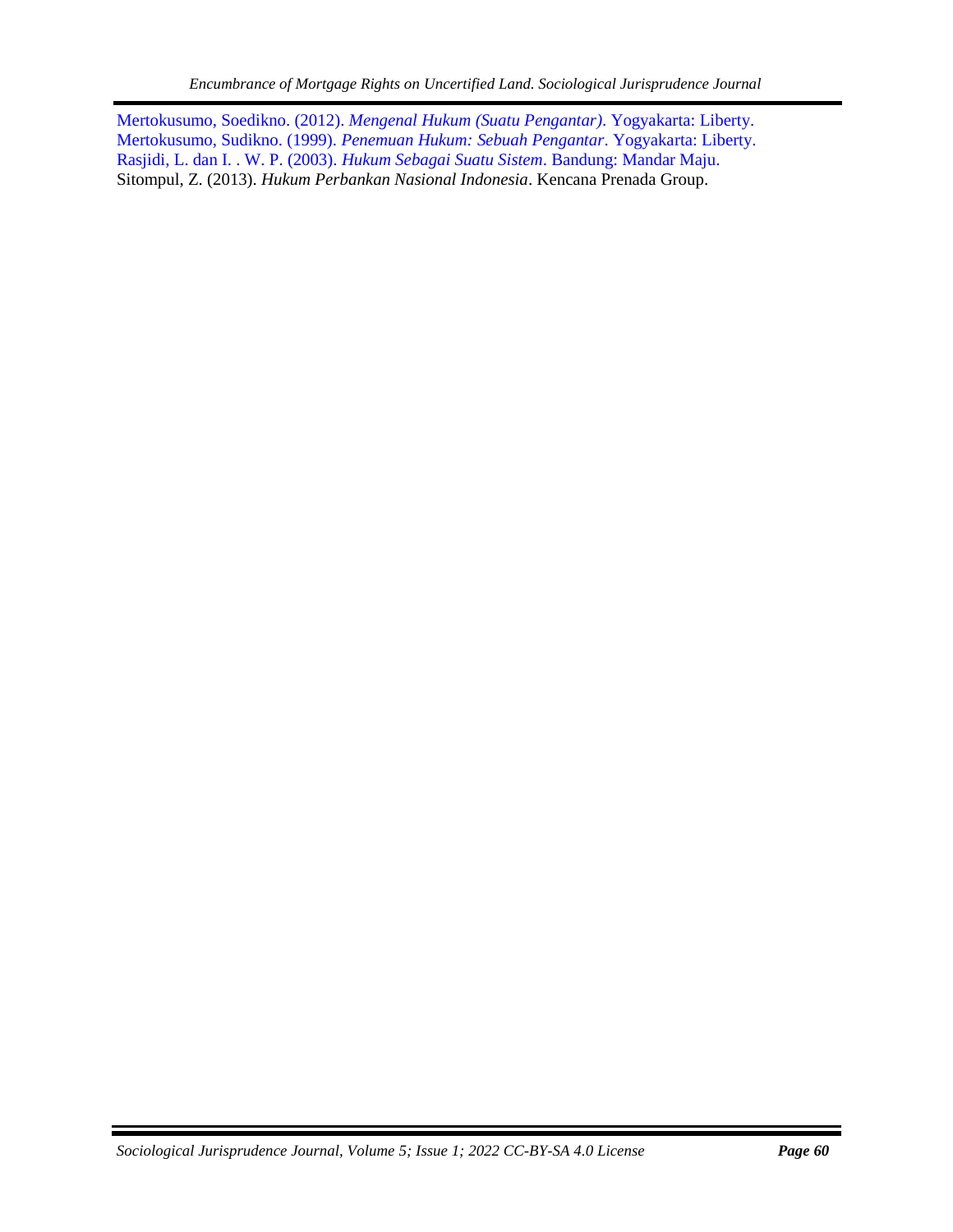<span id="page-4-0"></span>Mertokusumo, Soedikno. (2012). *[Mengenal Hukum \(Suatu Pengantar\)](https://onesearch.id/Record/IOS2720.slims-10174)*. Yogyakarta: Liberty. [Mertokusumo, Sudikno. \(1999\).](http://digilib.ui.ac.id/detail?id=20132468) *Penemuan Hukum: Sebuah Pengantar*. Yogyakarta: Liberty. [Rasjidi, L. dan I. . W. P. \(2003\).](https://opac.perpusnas.go.id/DetailOpac.aspx?id=407619) *Hukum Sebagai Suatu Sistem*. Bandung: Mandar Maju. Sitompul, Z. (2013). *Hukum Perbankan Nasional Indonesia*. Kencana Prenada Group.